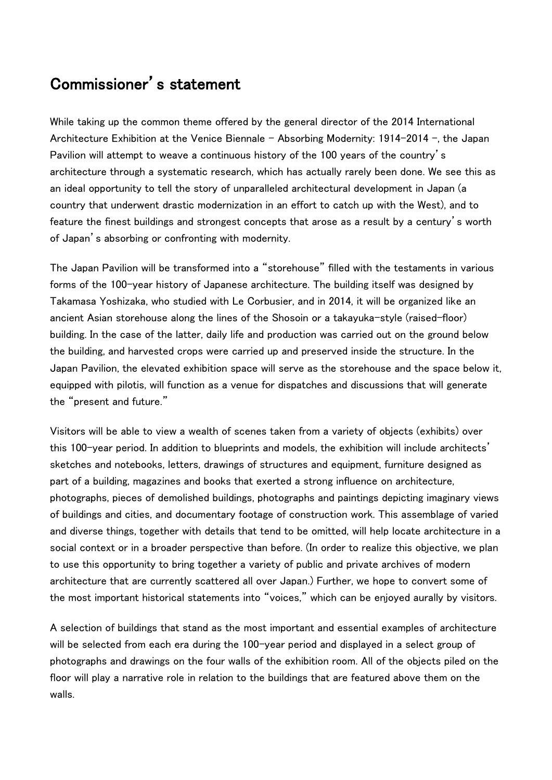## Commissioner's statement

While taking up the common theme offered by the general director of the 2014 International Architecture Exhibition at the Venice Biennale – Absorbing Modernity: 1914-2014 –, the Japan Pavilion will attempt to weave a continuous history of the 100 years of the country's architecture through a systematic research, which has actually rarely been done. We see this as an ideal opportunity to tell the story of unparalleled architectural development in Japan (a country that underwent drastic modernization in an effort to catch up with the West), and to feature the finest buildings and strongest concepts that arose as a result by a century's worth of Japan's absorbing or confronting with modernity.

The Japan Pavilion will be transformed into a "storehouse" filled with the testaments in various forms of the 100-year history of Japanese architecture. The building itself was designed by Takamasa Yoshizaka, who studied with Le Corbusier, and in 2014, it will be organized like an ancient Asian storehouse along the lines of the Shosoin or a takayuka-style (raised-floor) building. In the case of the latter, daily life and production was carried out on the ground below the building, and harvested crops were carried up and preserved inside the structure. In the Japan Pavilion, the elevated exhibition space will serve as the storehouse and the space below it, equipped with pilotis, will function as a venue for dispatches and discussions that will generate the "present and future."

Visitors will be able to view a wealth of scenes taken from a variety of objects (exhibits) over this 100-year period. In addition to blueprints and models, the exhibition will include architects' sketches and notebooks, letters, drawings of structures and equipment, furniture designed as part of a building, magazines and books that exerted a strong influence on architecture, photographs, pieces of demolished buildings, photographs and paintings depicting imaginary views of buildings and cities, and documentary footage of construction work. This assemblage of varied and diverse things, together with details that tend to be omitted, will help locate architecture in a social context or in a broader perspective than before. (In order to realize this objective, we plan to use this opportunity to bring together a variety of public and private archives of modern architecture that are currently scattered all over Japan.) Further, we hope to convert some of the most important historical statements into "voices," which can be enjoyed aurally by visitors.

A selection of buildings that stand as the most important and essential examples of architecture will be selected from each era during the 100-year period and displayed in a select group of photographs and drawings on the four walls of the exhibition room. All of the objects piled on the floor will play a narrative role in relation to the buildings that are featured above them on the walls.